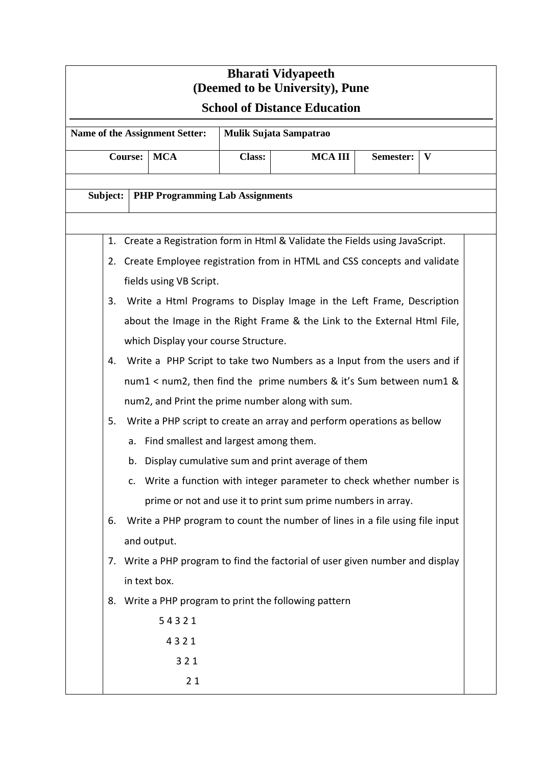| <b>Bharati Vidyapeeth</b><br>(Deemed to be University), Pune                  |                                                                                   |                                                                            |  |               |                |           |   |  |
|-------------------------------------------------------------------------------|-----------------------------------------------------------------------------------|----------------------------------------------------------------------------|--|---------------|----------------|-----------|---|--|
| <b>School of Distance Education</b>                                           |                                                                                   |                                                                            |  |               |                |           |   |  |
| Name of the Assignment Setter:<br>Mulik Sujata Sampatrao                      |                                                                                   |                                                                            |  |               |                |           |   |  |
| <b>Course:</b><br><b>MCA</b>                                                  |                                                                                   |                                                                            |  | <b>Class:</b> | <b>MCA III</b> | Semester: | V |  |
|                                                                               |                                                                                   |                                                                            |  |               |                |           |   |  |
| Subject:<br><b>PHP Programming Lab Assignments</b>                            |                                                                                   |                                                                            |  |               |                |           |   |  |
| 1. Create a Registration form in Html & Validate the Fields using JavaScript. |                                                                                   |                                                                            |  |               |                |           |   |  |
|                                                                               | 2. Create Employee registration from in HTML and CSS concepts and validate        |                                                                            |  |               |                |           |   |  |
|                                                                               | fields using VB Script.                                                           |                                                                            |  |               |                |           |   |  |
|                                                                               | Write a Html Programs to Display Image in the Left Frame, Description<br>3.       |                                                                            |  |               |                |           |   |  |
|                                                                               | about the Image in the Right Frame & the Link to the External Html File,          |                                                                            |  |               |                |           |   |  |
|                                                                               | which Display your course Structure.                                              |                                                                            |  |               |                |           |   |  |
|                                                                               | Write a PHP Script to take two Numbers as a Input from the users and if<br>4.     |                                                                            |  |               |                |           |   |  |
|                                                                               | num1 < num2, then find the prime numbers & it's Sum between num1 &                |                                                                            |  |               |                |           |   |  |
|                                                                               | num2, and Print the prime number along with sum.                                  |                                                                            |  |               |                |           |   |  |
|                                                                               | 5.                                                                                | Write a PHP script to create an array and perform operations as bellow     |  |               |                |           |   |  |
|                                                                               |                                                                                   | a. Find smallest and largest among them.                                   |  |               |                |           |   |  |
|                                                                               |                                                                                   | b. Display cumulative sum and print average of them                        |  |               |                |           |   |  |
|                                                                               |                                                                                   | Write a function with integer parameter to check whether number is<br>c.   |  |               |                |           |   |  |
|                                                                               |                                                                                   | prime or not and use it to print sum prime numbers in array.               |  |               |                |           |   |  |
|                                                                               | Write a PHP program to count the number of lines in a file using file input<br>6. |                                                                            |  |               |                |           |   |  |
|                                                                               | and output.                                                                       |                                                                            |  |               |                |           |   |  |
|                                                                               | 7.                                                                                | Write a PHP program to find the factorial of user given number and display |  |               |                |           |   |  |
|                                                                               |                                                                                   | in text box.                                                               |  |               |                |           |   |  |
|                                                                               | Write a PHP program to print the following pattern<br>8.                          |                                                                            |  |               |                |           |   |  |
|                                                                               | 54321                                                                             |                                                                            |  |               |                |           |   |  |
|                                                                               | 4321                                                                              |                                                                            |  |               |                |           |   |  |
|                                                                               | 321                                                                               |                                                                            |  |               |                |           |   |  |
|                                                                               | 21                                                                                |                                                                            |  |               |                |           |   |  |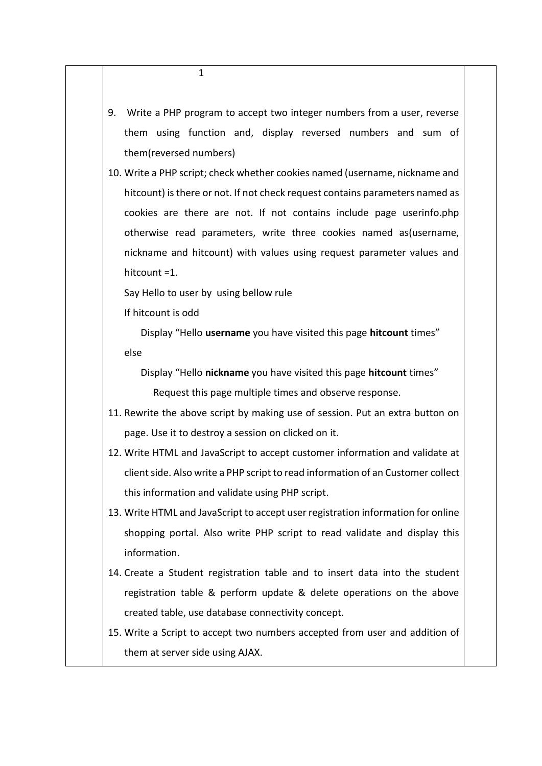- 9. Write a PHP program to accept two integer numbers from a user, reverse them using function and, display reversed numbers and sum of them(reversed numbers) 10. Write a PHP script; check whether cookies named (username, nickname and hitcount) is there or not. If not check request contains parameters named as cookies are there are not. If not contains include page userinfo.php otherwise read parameters, write three cookies named as(username, nickname and hitcount) with values using request parameter values and hitcount =1. Say Hello to user by using bellow rule If hitcount is odd Display "Hello **username** you have visited this page **hitcount** times" else Display "Hello **nickname** you have visited this page **hitcount** times" Request this page multiple times and observe response. 11. Rewrite the above script by making use of session. Put an extra button on page. Use it to destroy a session on clicked on it. 12. Write HTML and JavaScript to accept customer information and validate at client side. Also write a PHP script to read information of an Customer collect this information and validate using PHP script. 13. Write HTML and JavaScript to accept user registration information for online shopping portal. Also write PHP script to read validate and display this information. 14. Create a Student registration table and to insert data into the student
- registration table & perform update & delete operations on the above created table, use database connectivity concept.
- 15. Write a Script to accept two numbers accepted from user and addition of them at server side using AJAX.